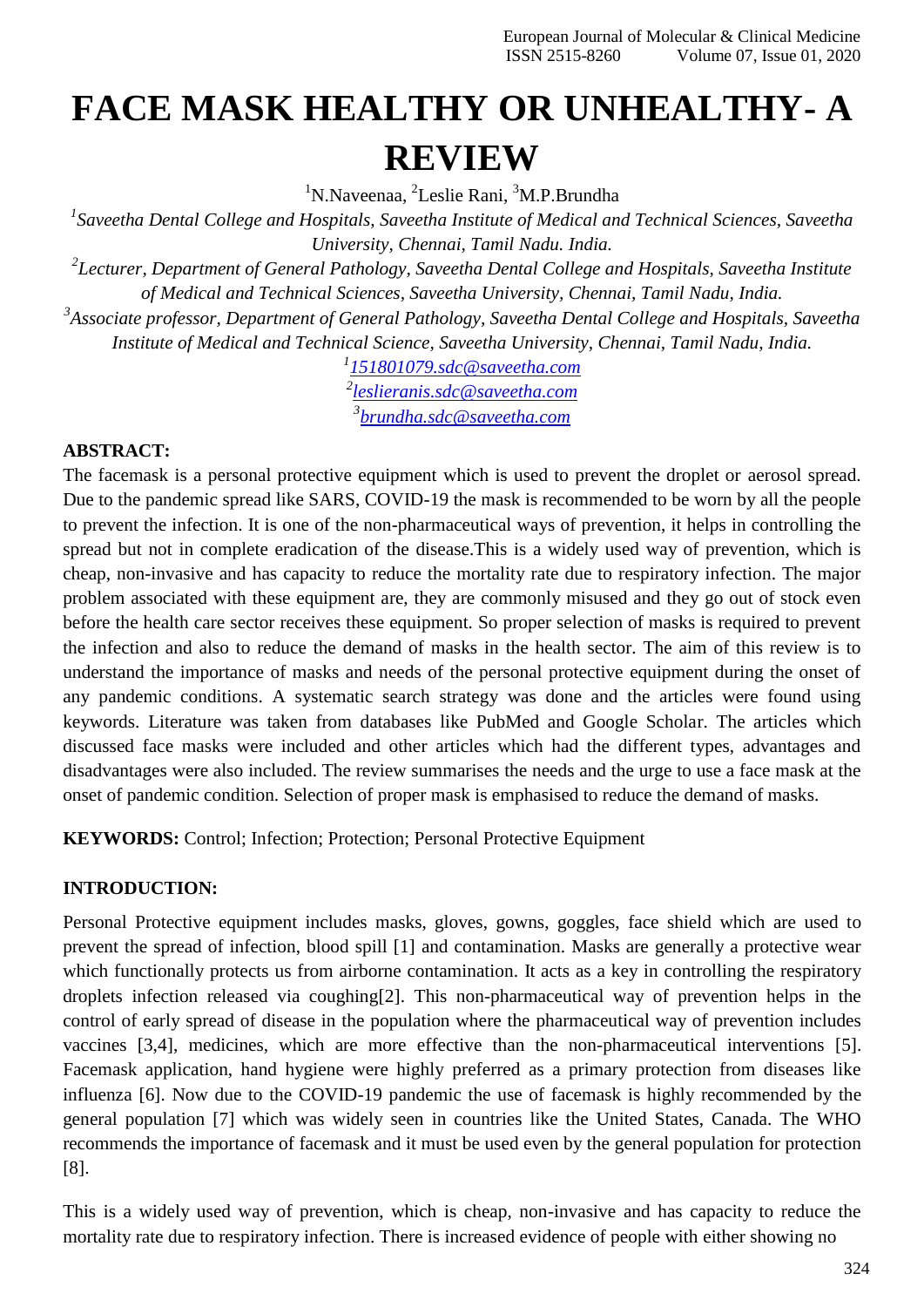# **FACE MASK HEALTHY OR UNHEALTHY- A REVIEW**

<sup>1</sup>N.Naveenaa, <sup>2</sup>Leslie Rani, <sup>3</sup>M.P.Brundha

*1 Saveetha Dental College and Hospitals, Saveetha Institute of Medical and Technical Sciences, Saveetha University, Chennai, Tamil Nadu. India.*

*2 Lecturer, Department of General Pathology, Saveetha Dental College and Hospitals, Saveetha Institute of Medical and Technical Sciences, Saveetha University, Chennai, Tamil Nadu, India.*

*3 Associate professor, Department of General Pathology, Saveetha Dental College and Hospitals, Saveetha Institute of Medical and Technical Science, Saveetha University, Chennai, Tamil Nadu, India.*

> *1 [151801079.sdc@saveetha.com](mailto:151801079.sdc@saveetha.com) 2 [leslieranis.sdc@saveetha.com](mailto:leslieranis.sdc@saveetha.com) 3 [brundha.sdc@saveetha.com](mailto:brundha.sdc@saveetha.com)*

## **ABSTRACT:**

The facemask is a personal protective equipment which is used to prevent the droplet or aerosol spread. Due to the pandemic spread like SARS, COVID-19 the mask is recommended to be worn by all the people to prevent the infection. It is one of the non-pharmaceutical ways of prevention, it helps in controlling the spread but not in complete eradication of the disease.This is a widely used way of prevention, which is cheap, non-invasive and has capacity to reduce the mortality rate due to respiratory infection. The major problem associated with these equipment are, they are commonly misused and they go out of stock even before the health care sector receives these equipment. So proper selection of masks is required to prevent the infection and also to reduce the demand of masks in the health sector. The aim of this review is to understand the importance of masks and needs of the personal protective equipment during the onset of any pandemic conditions. A systematic search strategy was done and the articles were found using keywords. Literature was taken from databases like PubMed and Google Scholar. The articles which discussed face masks were included and other articles which had the different types, advantages and disadvantages were also included. The review summarises the needs and the urge to use a face mask at the onset of pandemic condition. Selection of proper mask is emphasised to reduce the demand of masks.

**KEYWORDS:** Control; Infection; Protection; Personal Protective Equipment

## **INTRODUCTION:**

Personal Protective equipment includes masks, gloves, gowns, goggles, face shield which are used to prevent the spread of infection, blood spill [\[1\] a](https://paperpile.com/c/mVJHTp/AdHD)nd contamination. Masks are generally a protective wear which functionally protects us from airborne contamination. It acts as a key in controlling the respiratory droplets infection released via coughin[g\[2\].](https://paperpile.com/c/mVJHTp/rcqf) This non-pharmaceutical way of prevention helps in the control of early spread of disease in the population where the pharmaceutical way of prevention includes vaccines [\[3,4\],](https://paperpile.com/c/mVJHTp/lEgV%2BdhXA) medicines, which are more effective than the non-pharmaceutical interventions [\[5\].](https://paperpile.com/c/mVJHTp/3cFl) Facemask application, hand hygiene were highly preferred as a primary protection from diseases like influenza [\[6\].](https://paperpile.com/c/mVJHTp/NOJU) Now due to the COVID-19 pandemic the use of facemask is highly recommended by the general population [\[7\]](https://paperpile.com/c/mVJHTp/v2TC) which was widely seen in countries like the United States, Canada. The WHO recommends the importance of facemask and it must be used even by the general population for protection [\[8\].](https://paperpile.com/c/mVJHTp/IfFL)

This is a widely used way of prevention, which is cheap, non-invasive and has capacity to reduce the mortality rate due to respiratory infection. There is increased evidence of people with either showing no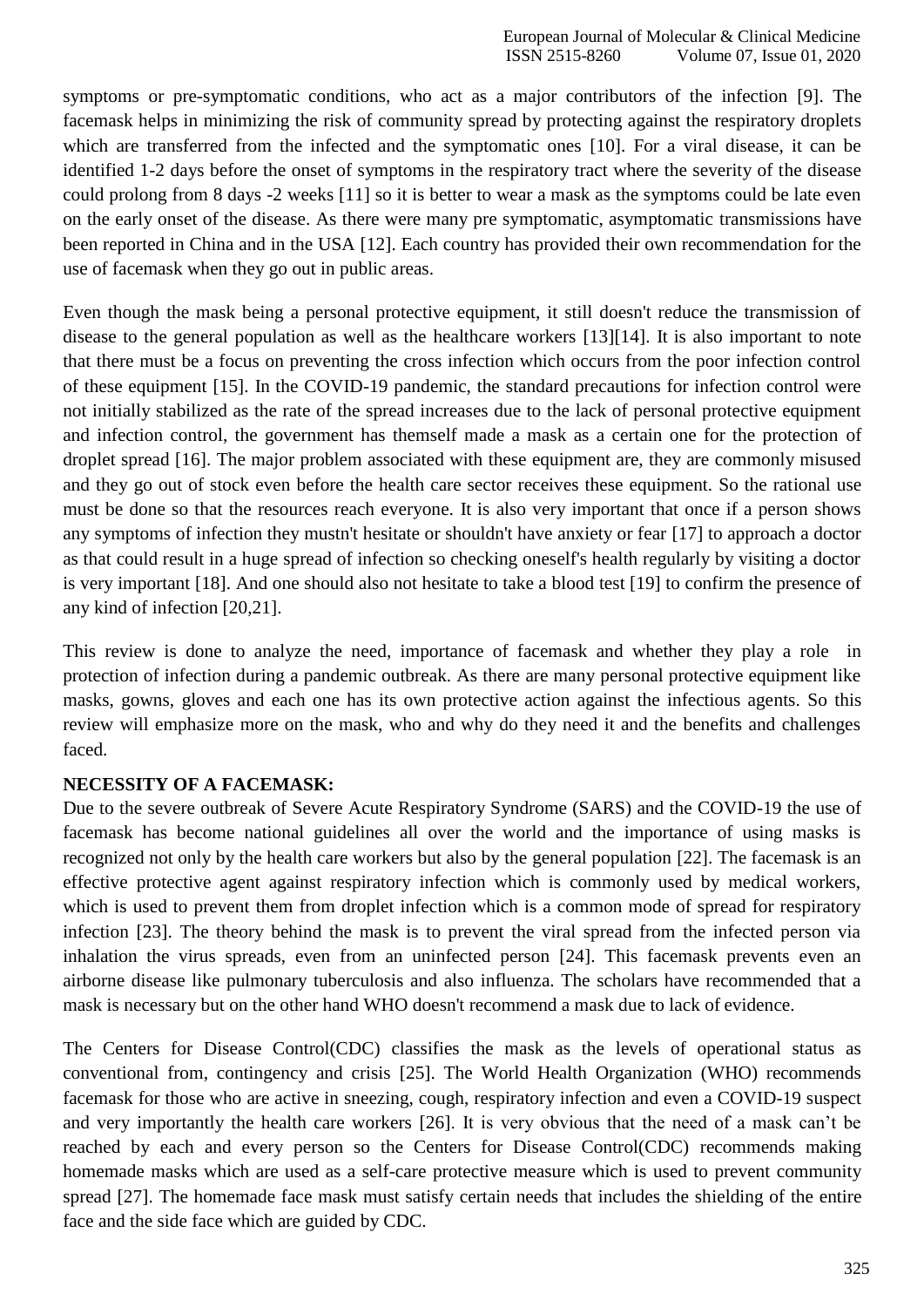symptoms or pre-symptomatic conditions, who act as a major contributors of the infection [\[9\].](https://paperpile.com/c/mVJHTp/Iguf) The facemask helps in minimizing the risk of community spread by protecting against the respiratory droplets which are transferred from the infected and the symptomatic ones [\[10\].](https://paperpile.com/c/mVJHTp/x4kh) For a viral disease, it can be identified 1-2 days before the onset of symptoms in the respiratory tract where the severity of the disease could prolong from 8 days -2 weeks [\[11\] s](https://paperpile.com/c/mVJHTp/jxcW)o it is better to wear a mask as the symptoms could be late even on the early onset of the disease. As there were many pre symptomatic, asymptomatic transmissions have been reported in China and in the USA [\[12\].](https://paperpile.com/c/mVJHTp/T2Ty) Each country has provided their own recommendation for the use of facemask when they go out in public areas.

Even though the mask being a personal protective equipment, it still doesn't reduce the transmission of disease to the general population as well as the healthcare workers [\[13\]\[14\].](https://paperpile.com/c/mVJHTp/ZnMq) It is also important to note that there must be a focus on preventing the cross infection which occurs from the poor infection control of these equipment [\[15\].](https://paperpile.com/c/mVJHTp/Uy7N) In the COVID-19 pandemic, the standard precautions for infection control were not initially stabilized as the rate of the spread increases due to the lack of personal protective equipment and infection control, the government has themself made a mask as a certain one for the protection of droplet spread [\[16\].](https://paperpile.com/c/mVJHTp/Qp3V) The major problem associated with these equipment are, they are commonly misused and they go out of stock even before the health care sector receives these equipment. So the rational use must be done so that the resources reach everyone. It is also very important that once if a person shows any symptoms of infection they mustn't hesitate or shouldn't have anxiety or fear [\[17\] t](https://paperpile.com/c/mVJHTp/E8s8)o approach a doctor as that could result in a huge spread of infection so checking oneself's health regularly by visiting a doctor is very important [\[18\].](https://paperpile.com/c/mVJHTp/muAP) And one should also not hesitate to take a blood test [\[19\] t](https://paperpile.com/c/mVJHTp/nnyu)o confirm the presence of any kind of infection [\[20,21\].](https://paperpile.com/c/mVJHTp/vHN2%2BCEVc)

This review is done to analyze the need, importance of facemask and whether they play a role in protection of infection during a pandemic outbreak. As there are many personal protective equipment like masks, gowns, gloves and each one has its own protective action against the infectious agents. So this review will emphasize more on the mask, who and why do they need it and the benefits and challenges faced.

## **NECESSITY OF A FACEMASK:**

Due to the severe outbreak of Severe Acute Respiratory Syndrome (SARS) and the COVID-19 the use of facemask has become national guidelines all over the world and the importance of using masks is recognized not only by the health care workers but also by the general population [\[22\].](https://paperpile.com/c/mVJHTp/wcDh) The facemask is an effective protective agent against respiratory infection which is commonly used by medical workers, which is used to prevent them from droplet infection which is a common mode of spread for respiratory infection [\[23\].](https://paperpile.com/c/mVJHTp/eXfR) The theory behind the mask is to prevent the viral spread from the infected person via inhalation the virus spreads, even from an uninfected person [\[24\].](https://paperpile.com/c/mVJHTp/gYuP) This facemask prevents even an airborne disease like pulmonary tuberculosis and also influenza. The scholars have recommended that a mask is necessary but on the other hand WHO doesn't recommend a mask due to lack of evidence.

The Centers for Disease Control(CDC) classifies the mask as the levels of operational status as conventional from, contingency and crisis [\[25\].](https://paperpile.com/c/mVJHTp/zOZh) The World Health Organization (WHO) recommends facemask for those who are active in sneezing, cough, respiratory infection and even a COVID-19 suspect and very importantly the health care workers [\[26\].](https://paperpile.com/c/mVJHTp/DFPa) It is very obvious that the need of a mask can't be reached by each and every person so the Centers for Disease Control(CDC) recommends making homemade masks which are used as a self-care protective measure which is used to prevent community spread [\[27\].](https://paperpile.com/c/mVJHTp/c7vh) The homemade face mask must satisfy certain needs that includes the shielding of the entire face and the side face which are guided by CDC.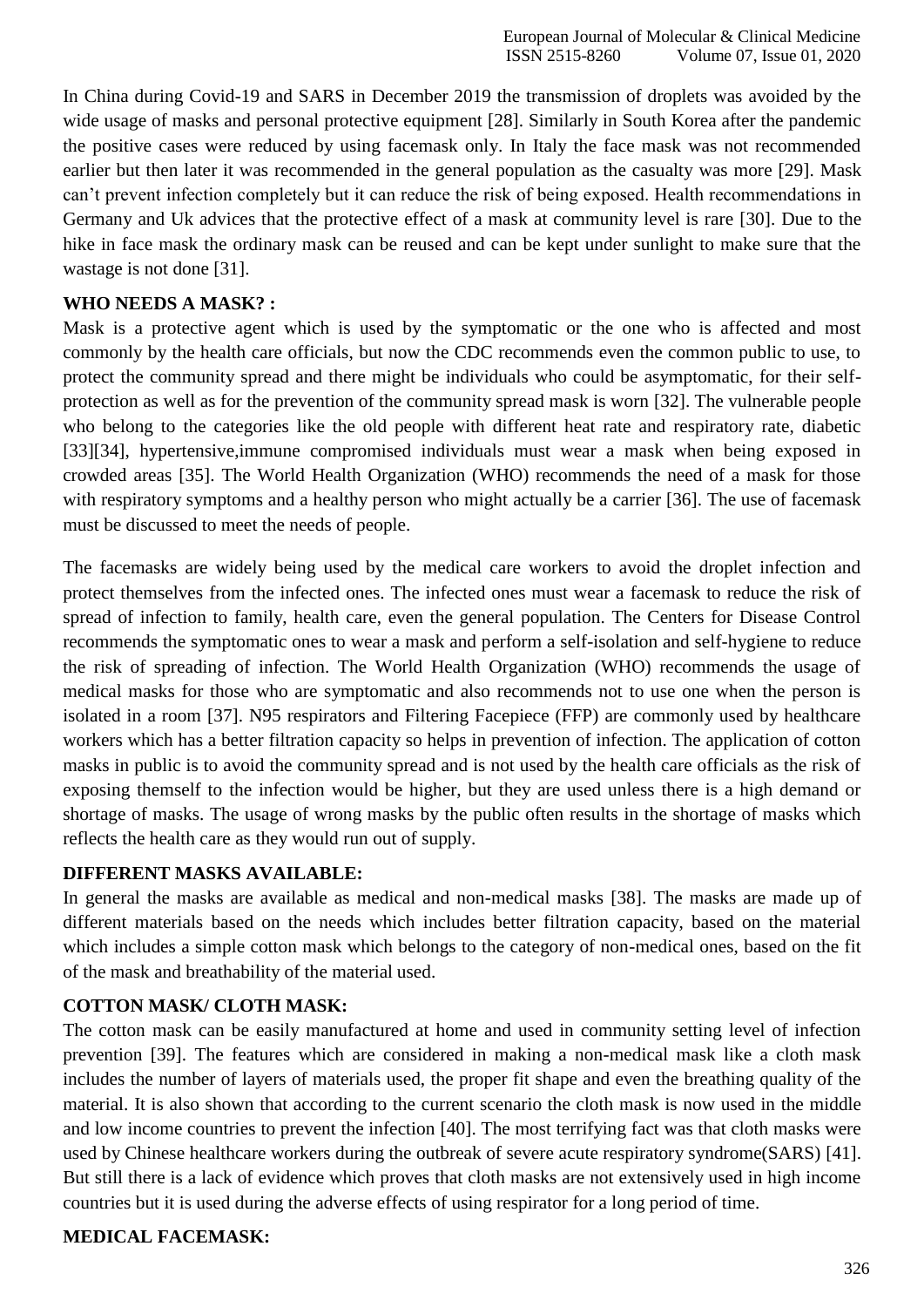In China during Covid-19 and SARS in December 2019 the transmission of droplets was avoided by the wide usage of masks and personal protective equipment [\[28\].](https://paperpile.com/c/mVJHTp/uA7a) Similarly in South Korea after the pandemic the positive cases were reduced by using facemask only. In Italy the face mask was not recommended earlier but then later it was recommended in the general population as the casualty was more [\[29\].](https://paperpile.com/c/mVJHTp/IG8C) Mask can't prevent infection completely but it can reduce the risk of being exposed. Health recommendations in Germany and Uk advices that the protective effect of a mask at community level is rare [\[30\].](https://paperpile.com/c/mVJHTp/t9nC) Due to the hike in face mask the ordinary mask can be reused and can be kept under sunlight to make sure that the wastage is not done [\[31\].](https://paperpile.com/c/mVJHTp/NoDi)

#### **WHO NEEDS A MASK? :**

Mask is a protective agent which is used by the symptomatic or the one who is affected and most commonly by the health care officials, but now the CDC recommends even the common public to use, to protect the community spread and there might be individuals who could be asymptomatic, for their selfprotection as well as for the prevention of the community spread mask is worn [\[32\].](https://paperpile.com/c/mVJHTp/KAyy) The vulnerable people who belong to the categories like the old people with different heat rate and respiratory rate, diabetic [\[33\]\[34\],](https://paperpile.com/c/mVJHTp/PRG7) hypertensive, immune compromised individuals must wear a mask when being exposed in crowded areas [\[35\].](https://paperpile.com/c/mVJHTp/RGvE) The World Health Organization (WHO) recommends the need of a mask for those with respiratory symptoms and a healthy person who might actually be a carrier [\[36\].](https://paperpile.com/c/mVJHTp/cQ1t) The use of facemask must be discussed to meet the needs of people.

The facemasks are widely being used by the medical care workers to avoid the droplet infection and protect themselves from the infected ones. The infected ones must wear a facemask to reduce the risk of spread of infection to family, health care, even the general population. The Centers for Disease Control recommends the symptomatic ones to wear a mask and perform a self-isolation and self-hygiene to reduce the risk of spreading of infection. The World Health Organization (WHO) recommends the usage of medical masks for those who are symptomatic and also recommends not to use one when the person is isolated in a room [\[37\].](https://paperpile.com/c/mVJHTp/o57x) N95 respirators and Filtering Facepiece (FFP) are commonly used by healthcare workers which has a better filtration capacity so helps in prevention of infection. The application of cotton masks in public is to avoid the community spread and is not used by the health care officials as the risk of exposing themself to the infection would be higher, but they are used unless there is a high demand or shortage of masks. The usage of wrong masks by the public often results in the shortage of masks which reflects the health care as they would run out of supply.

## **DIFFERENT MASKS AVAILABLE:**

In general the masks are available as medical and non-medical masks [\[38\].](https://paperpile.com/c/mVJHTp/JB0X) The masks are made up of different materials based on the needs which includes better filtration capacity, based on the material which includes a simple cotton mask which belongs to the category of non-medical ones, based on the fit of the mask and breathability of the material used.

## **COTTON MASK/ CLOTH MASK:**

The cotton mask can be easily manufactured at home and used in community setting level of infection prevention [\[39\].](https://paperpile.com/c/mVJHTp/uOMV) The features which are considered in making a non-medical mask like a cloth mask includes the number of layers of materials used, the proper fit shape and even the breathing quality of the material. It is also shown that according to the current scenario the cloth mask is now used in the middle and low income countries to prevent the infection [\[40\].](https://paperpile.com/c/mVJHTp/GkB4) The most terrifying fact was that cloth masks were used by Chinese healthcare workers during the outbreak of severe acute respiratory syndrome(SARS) [\[41\].](https://paperpile.com/c/mVJHTp/DzTg) But still there is a lack of evidence which proves that cloth masks are not extensively used in high income countries but it is used during the adverse effects of using respirator for a long period of time.

## **MEDICAL FACEMASK:**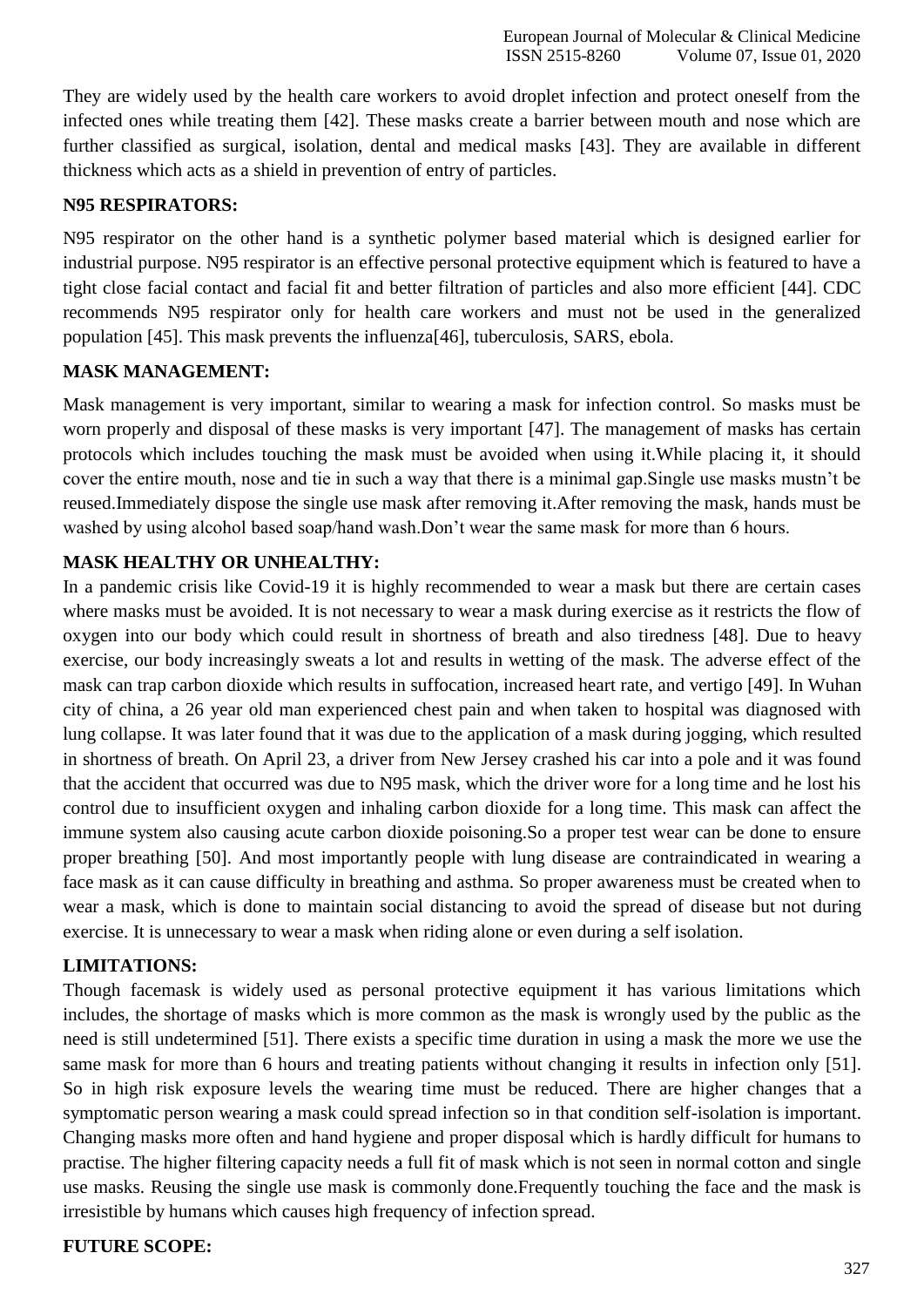They are widely used by the health care workers to avoid droplet infection and protect oneself from the infected ones while treating them [\[42\].](https://paperpile.com/c/mVJHTp/ocHN) These masks create a barrier between mouth and nose which are further classified as surgical, isolation, dental and medical masks [\[43\].](https://paperpile.com/c/mVJHTp/eoBv) They are available in different thickness which acts as a shield in prevention of entry of particles.

## **N95 RESPIRATORS:**

N95 respirator on the other hand is a synthetic polymer based material which is designed earlier for industrial purpose. N95 respirator is an effective personal protective equipment which is featured to have a tight close facial contact and facial fit and better filtration of particles and also more efficient [\[44\].](https://paperpile.com/c/mVJHTp/brn6) CDC recommends N95 respirator only for health care workers and must not be used in the generalized population [\[45\].](https://paperpile.com/c/mVJHTp/fB7q) This mask prevents the influenz[a\[46\],](https://paperpile.com/c/mVJHTp/XPYc) tuberculosis, SARS, ebola.

## **MASK MANAGEMENT:**

Mask management is very important, similar to wearing a mask for infection control. So masks must be worn properly and disposal of these masks is very important [\[47\].](https://paperpile.com/c/mVJHTp/DPHY) The management of masks has certain protocols which includes touching the mask must be avoided when using it.While placing it, it should cover the entire mouth, nose and tie in such a way that there is a minimal gap.Single use masks mustn't be reused.Immediately dispose the single use mask after removing it.After removing the mask, hands must be washed by using alcohol based soap/hand wash.Don't wear the same mask for more than 6 hours.

## **MASK HEALTHY OR UNHEALTHY:**

In a pandemic crisis like Covid-19 it is highly recommended to wear a mask but there are certain cases where masks must be avoided. It is not necessary to wear a mask during exercise as it restricts the flow of oxygen into our body which could result in shortness of breath and also tiredness [\[48\].](https://paperpile.com/c/mVJHTp/5KaW) Due to heavy exercise, our body increasingly sweats a lot and results in wetting of the mask. The adverse effect of the mask can trap carbon dioxide which results in suffocation, increased heart rate, and vertigo [\[49\].](https://paperpile.com/c/mVJHTp/bM3o) In Wuhan city of china, a 26 year old man experienced chest pain and when taken to hospital was diagnosed with lung collapse. It was later found that it was due to the application of a mask during jogging, which resulted in shortness of breath. On April 23, a driver from New Jersey crashed his car into a pole and it was found that the accident that occurred was due to N95 mask, which the driver wore for a long time and he lost his control due to insufficient oxygen and inhaling carbon dioxide for a long time. This mask can affect the immune system also causing acute carbon dioxide poisoning.So a proper test wear can be done to ensure proper breathing [\[50\].](https://paperpile.com/c/mVJHTp/BEzu) And most importantly people with lung disease are contraindicated in wearing a face mask as it can cause difficulty in breathing and asthma. So proper awareness must be created when to wear a mask, which is done to maintain social distancing to avoid the spread of disease but not during exercise. It is unnecessary to wear a mask when riding alone or even during a self isolation.

# **LIMITATIONS:**

Though facemask is widely used as personal protective equipment it has various limitations which includes, the shortage of masks which is more common as the mask is wrongly used by the public as the need is still undetermined [\[51\].](https://paperpile.com/c/mVJHTp/ZYBT) There exists a specific time duration in using a mask the more we use the same mask for more than 6 hours and treating patients without changing it results in infection only [\[51\].](https://paperpile.com/c/mVJHTp/ZYBT) So in high risk exposure levels the wearing time must be reduced. There are higher changes that a symptomatic person wearing a mask could spread infection so in that condition self-isolation is important. Changing masks more often and hand hygiene and proper disposal which is hardly difficult for humans to practise. The higher filtering capacity needs a full fit of mask which is not seen in normal cotton and single use masks. Reusing the single use mask is commonly done.Frequently touching the face and the mask is irresistible by humans which causes high frequency of infection spread.

## **FUTURE SCOPE:**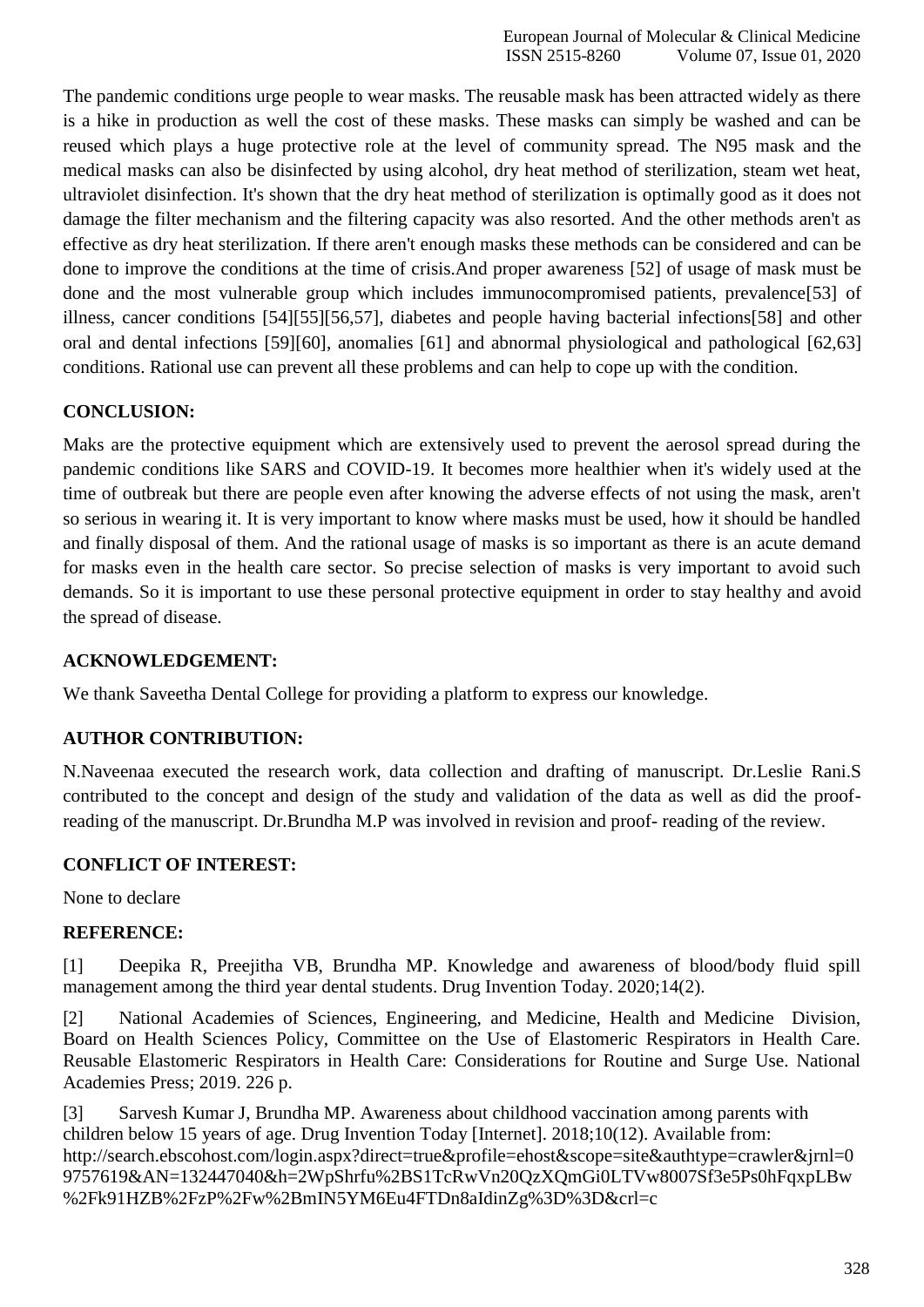The pandemic conditions urge people to wear masks. The reusable mask has been attracted widely as there is a hike in production as well the cost of these masks. These masks can simply be washed and can be reused which plays a huge protective role at the level of community spread. The N95 mask and the medical masks can also be disinfected by using alcohol, dry heat method of sterilization, steam wet heat, ultraviolet disinfection. It's shown that the dry heat method of sterilization is optimally good as it does not damage the filter mechanism and the filtering capacity was also resorted. And the other methods aren't as effective as dry heat sterilization. If there aren't enough masks these methods can be considered and can be done to improve the conditions at the time of crisis.And proper awareness [\[52\] o](https://paperpile.com/c/mVJHTp/vSH4)f usage of mask must be done and the most vulnerable group which includes immunocompromised patients, prevalenc[e\[53\]](https://paperpile.com/c/mVJHTp/oOAE) of illness, cancer conditions [\[54\]\[55\]](https://paperpile.com/c/mVJHTp/VYtY)[\[56,57\],](https://paperpile.com/c/mVJHTp/75YL%2BcNOp) diabetes and people having bacterial infection[s\[58\]](https://paperpile.com/c/mVJHTp/C90n) and other oral and dental infections [\[59\]\[60\],](https://paperpile.com/c/mVJHTp/xGno) anomalies [\[61\] a](https://paperpile.com/c/mVJHTp/EO6P)nd abnormal physiological and pathological [\[62,63\]](https://paperpile.com/c/mVJHTp/9zGg%2BpPJp) conditions. Rational use can prevent all these problems and can help to cope up with the condition.

# **CONCLUSION:**

Maks are the protective equipment which are extensively used to prevent the aerosol spread during the pandemic conditions like SARS and COVID-19. It becomes more healthier when it's widely used at the time of outbreak but there are people even after knowing the adverse effects of not using the mask, aren't so serious in wearing it. It is very important to know where masks must be used, how it should be handled and finally disposal of them. And the rational usage of masks is so important as there is an acute demand for masks even in the health care sector. So precise selection of masks is very important to avoid such demands. So it is important to use these personal protective equipment in order to stay healthy and avoid the spread of disease.

## **ACKNOWLEDGEMENT:**

We thank Saveetha Dental College for providing a platform to express our knowledge.

# **AUTHOR CONTRIBUTION:**

N.Naveenaa executed the research work, data collection and drafting of manuscript. Dr.Leslie Rani.S contributed to the concept and design of the study and validation of the data as well as did the proofreading of the manuscript. Dr.Brundha M.P was involved in revision and proof- reading of the review.

## **CONFLICT OF INTEREST:**

None to declare

## **REFERENCE:**

[1] [Deepika R, Preejitha VB, Brundha MP. Knowledge and awareness of blood/body fluid spill](http://paperpile.com/b/mVJHTp/AdHD) [management among the third year dental students. Drug Invention Today.](http://paperpile.com/b/mVJHTp/AdHD) 2020;14(2).

[2] [National Academies of Sciences, Engineering, and Medicine, Health and Medicine Division,](http://paperpile.com/b/mVJHTp/rcqf) [Board on Health Sciences Policy, Committee on the Use of Elastomeric Respirators in Health Care.](http://paperpile.com/b/mVJHTp/rcqf) [Reusable Elastomeric Respirators in Health Care: Considerations for Routine and Surge Use. National](http://paperpile.com/b/mVJHTp/rcqf) [Academies Press; 2019. 226](http://paperpile.com/b/mVJHTp/rcqf) p.

[3] [Sarvesh Kumar J, Brundha MP. Awareness about childhood vaccination among parents with](http://paperpile.com/b/mVJHTp/lEgV) [children below 15 years of age. Drug Invention Today \[Internet\]. 2018;10\(12\). Available from:](http://paperpile.com/b/mVJHTp/lEgV) [http://search.ebscohost.com/login.aspx?direct=true&profile=ehost&scope=site&authtype=crawler&jrnl=0](http://search.ebscohost.com/login.aspx?direct=true&profile=ehost&scope=site&authtype=crawler&jrnl=09757619&AN=132447040&h=2WpShrfu%2BS1TcRwVn20QzXQmGi0LTVw8007Sf3e5Ps0hFqxpLBw%2Fk91HZB%2FzP%2Fw%2BmIN5YM6Eu4FTDn8aIdinZg%3D%3D&crl=c) [9757619&AN=132447040&h=2WpShrfu%2BS1TcRwVn20QzXQmGi0LTVw8007Sf3e5Ps0hFqxpLBw](http://search.ebscohost.com/login.aspx?direct=true&profile=ehost&scope=site&authtype=crawler&jrnl=09757619&AN=132447040&h=2WpShrfu%2BS1TcRwVn20QzXQmGi0LTVw8007Sf3e5Ps0hFqxpLBw%2Fk91HZB%2FzP%2Fw%2BmIN5YM6Eu4FTDn8aIdinZg%3D%3D&crl=c) [%2Fk91HZB%2FzP%2Fw%2BmIN5YM6Eu4FTDn8aIdinZg%3D%3D&crl=c](http://search.ebscohost.com/login.aspx?direct=true&profile=ehost&scope=site&authtype=crawler&jrnl=09757619&AN=132447040&h=2WpShrfu%2BS1TcRwVn20QzXQmGi0LTVw8007Sf3e5Ps0hFqxpLBw%2Fk91HZB%2FzP%2Fw%2BmIN5YM6Eu4FTDn8aIdinZg%3D%3D&crl=c)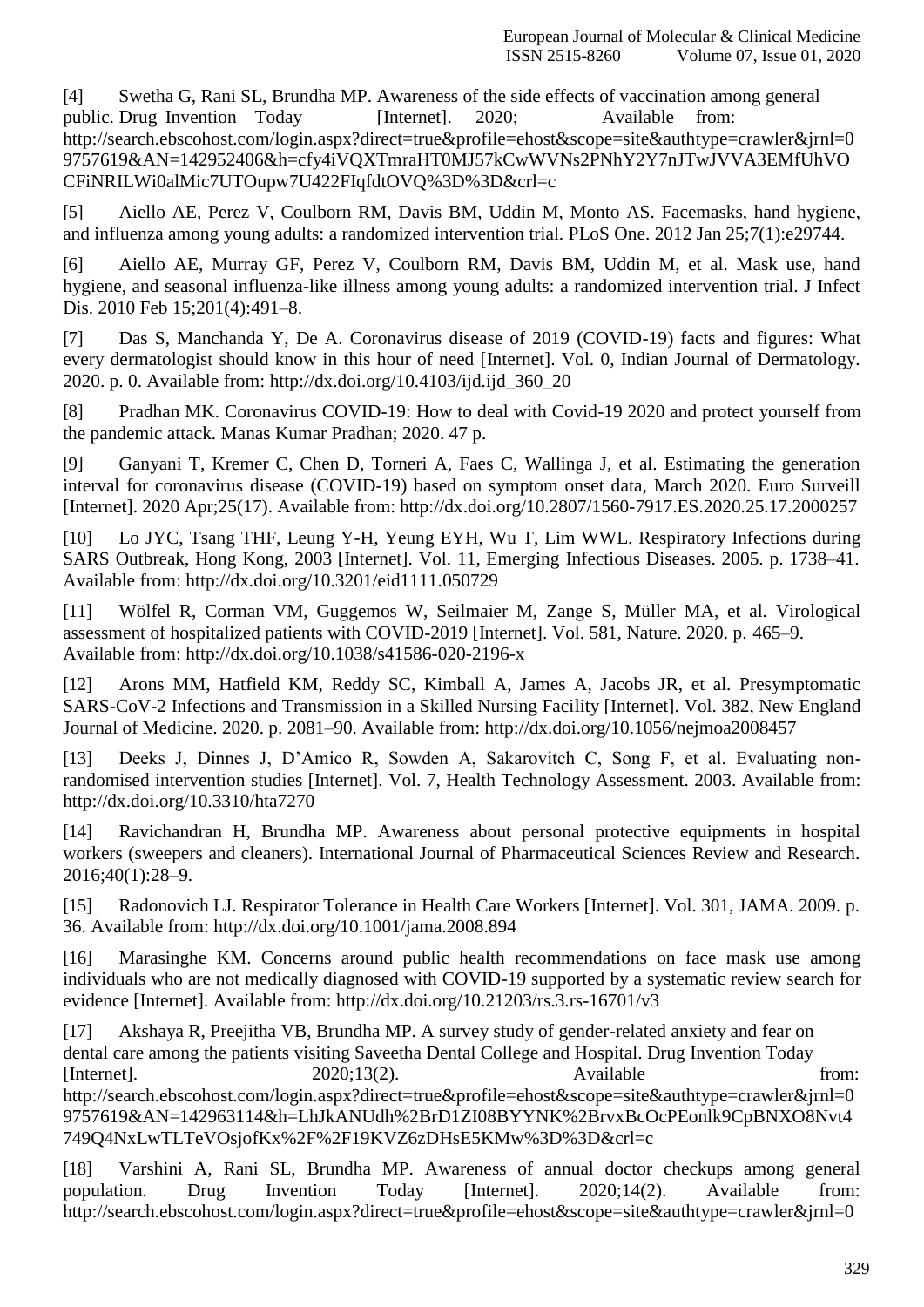[4] [Swetha G, Rani SL, Brundha MP. Awareness of the side effects of vaccination among general](http://paperpile.com/b/mVJHTp/dhXA) public. Drug Invention Today [\[Internet\].](http://paperpile.com/b/mVJHTp/dhXA) 2020; Available from[:](http://paperpile.com/b/mVJHTp/dhXA) [http://search.ebscohost.com/login.aspx?direct=true&profile=ehost&scope=site&authtype=crawler&jrnl=0](http://search.ebscohost.com/login.aspx?direct=true&profile=ehost&scope=site&authtype=crawler&jrnl=09757619&AN=142952406&h=cfy4iVQXTmraHT0MJ57kCwWVNs2PNhY2Y7nJTwJVVA3EMfUhVOCFiNRILWi0alMic7UTOupw7U422FIqfdtOVQ%3D%3D&crl=c) [9757619&AN=142952406&h=cfy4iVQXTmraHT0MJ57kCwWVNs2PNhY2Y7nJTwJVVA3EMfUhVO](http://search.ebscohost.com/login.aspx?direct=true&profile=ehost&scope=site&authtype=crawler&jrnl=09757619&AN=142952406&h=cfy4iVQXTmraHT0MJ57kCwWVNs2PNhY2Y7nJTwJVVA3EMfUhVOCFiNRILWi0alMic7UTOupw7U422FIqfdtOVQ%3D%3D&crl=c) [CFiNRILWi0alMic7UTOupw7U422FIqfdtOVQ%3D%3D&crl=c](http://search.ebscohost.com/login.aspx?direct=true&profile=ehost&scope=site&authtype=crawler&jrnl=09757619&AN=142952406&h=cfy4iVQXTmraHT0MJ57kCwWVNs2PNhY2Y7nJTwJVVA3EMfUhVOCFiNRILWi0alMic7UTOupw7U422FIqfdtOVQ%3D%3D&crl=c)

[5] [Aiello AE, Perez V, Coulborn RM, Davis BM, Uddin M, Monto AS. Facemasks, hand hygiene,](http://paperpile.com/b/mVJHTp/3cFl) [and influenza among young adults: a randomized intervention trial. PLoS One. 2012 Jan](http://paperpile.com/b/mVJHTp/3cFl) 25;7(1):e29744.

[6] [Aiello AE, Murray GF, Perez V, Coulborn RM, Davis BM, Uddin M, et al. Mask use, hand](http://paperpile.com/b/mVJHTp/NOJU) [hygiene, and seasonal influenza-like illness among young adults: a randomized intervention trial. J Infect](http://paperpile.com/b/mVJHTp/NOJU) Dis. 2010 Feb [15;201\(4\):491–8.](http://paperpile.com/b/mVJHTp/NOJU)

[7] [Das S, Manchanda Y, De A. Coronavirus disease of 2019 \(COVID-19\) facts and figures: What](http://paperpile.com/b/mVJHTp/v2TC) [every dermatologist should know in this hour of need \[Internet\]. Vol. 0, Indian Journal of Dermatology.](http://paperpile.com/b/mVJHTp/v2TC) [2020. p. 0. Available from:](http://paperpile.com/b/mVJHTp/v2TC) [http://dx.doi.org/10.4103/ijd.ijd\\_360\\_20](http://paperpile.com/b/mVJHTp/v2TC)

[8] [Pradhan MK. Coronavirus COVID-19: How to deal with Covid-19 2020 and protect yourself from](http://paperpile.com/b/mVJHTp/IfFL) [the pandemic attack. Manas Kumar Pradhan; 2020. 47](http://paperpile.com/b/mVJHTp/IfFL) p.

[9] [Ganyani T, Kremer C, Chen D, Torneri A, Faes C, Wallinga J, et al. Estimating the generation](http://paperpile.com/b/mVJHTp/Iguf) [interval for coronavirus disease \(COVID-19\) based on symptom onset data, March 2020. Euro Surveill](http://paperpile.com/b/mVJHTp/Iguf) [\[Internet\]. 2020 Apr;25\(17\). Available from:](http://paperpile.com/b/mVJHTp/Iguf) [http://dx.doi.org/10.2807/1560-7917.ES.2020.25.17.2000257](http://paperpile.com/b/mVJHTp/Iguf)

[10] [Lo JYC, Tsang THF, Leung Y-H, Yeung EYH, Wu T, Lim WWL. Respiratory Infections during](http://paperpile.com/b/mVJHTp/x4kh) SARS Outbreak, Hong Kong, 2003 [\[Internet\].](http://paperpile.com/b/mVJHTp/x4kh) Vol. 11, Emerging Infectious Diseases. 2005. p. 1738–41. [Available from: http://dx.doi.org/10.3201/eid1111.050729](http://paperpile.com/b/mVJHTp/x4kh)

[11] [Wölfel R, Corman VM, Guggemos W, Seilmaier M, Zange S, Müller MA, et al. Virological](http://paperpile.com/b/mVJHTp/jxcW) [assessment of hospitalized patients with COVID-2019 \[Internet\]. Vol. 581, Nature. 2020. p.](http://paperpile.com/b/mVJHTp/jxcW) 465–9. [Available from: http://dx.doi.org/10.1038/s41586-020-2196-x](http://paperpile.com/b/mVJHTp/jxcW)

[12] [Arons MM, Hatfield KM, Reddy SC, Kimball A, James A, Jacobs JR, et al. Presymptomatic](http://paperpile.com/b/mVJHTp/T2Ty) [SARS-CoV-2 Infections and Transmission in a Skilled Nursing Facility \[Internet\]. Vol. 382, New England](http://paperpile.com/b/mVJHTp/T2Ty) [Journal of Medicine. 2020. p. 2081–90. Available from:](http://paperpile.com/b/mVJHTp/T2Ty) [http://dx.doi.org/10.1056/nejmoa2008457](http://paperpile.com/b/mVJHTp/T2Ty)

[13] [Deeks J, Dinnes J, D'Amico R, Sowden A, Sakarovitch C, Song F, et al. Evaluating non](http://paperpile.com/b/mVJHTp/ZnMq)[randomised intervention studies \[Internet\]. Vol. 7, Health Technology Assessment. 2003. Available from:](http://paperpile.com/b/mVJHTp/ZnMq) <http://dx.doi.org/10.3310/hta7270>

[14] [Ravichandran H, Brundha MP. Awareness about personal protective equipments in hospital](http://paperpile.com/b/mVJHTp/x9gu) [workers \(sweepers and cleaners\). International Journal of Pharmaceutical Sciences Review and Research.](http://paperpile.com/b/mVJHTp/x9gu) [2016;40\(1\):28–9.](http://paperpile.com/b/mVJHTp/x9gu)

[15] [Radonovich LJ. Respirator Tolerance in Health Care Workers \[Internet\]. Vol. 301, JAMA. 2009.](http://paperpile.com/b/mVJHTp/Uy7N) p. [36. Available from: http://dx.doi.org/10.1001/jama.2008.894](http://paperpile.com/b/mVJHTp/Uy7N)

[16] [Marasinghe KM. Concerns around public health recommendations on face mask use among](http://paperpile.com/b/mVJHTp/Qp3V) [individuals who are not medically diagnosed with COVID-19 supported by a systematic review search for](http://paperpile.com/b/mVJHTp/Qp3V) [evidence \[Internet\]. Available from: http://dx.doi.org/10.21203/rs.3.rs-16701/v3](http://paperpile.com/b/mVJHTp/Qp3V)

[17] [Akshaya R, Preejitha VB, Brundha MP. A survey study of gender-related anxiety and fear on](http://paperpile.com/b/mVJHTp/E8s8) [dental care among the patients visiting Saveetha Dental College and Hospital. Drug Invention Today](http://paperpile.com/b/mVJHTp/E8s8) [Internet].  $2020;13(2)$ . Available from[:](http://paperpile.com/b/mVJHTp/E8s8) [http://search.ebscohost.com/login.aspx?direct=true&profile=ehost&scope=site&authtype=crawler&jrnl=0](http://search.ebscohost.com/login.aspx?direct=true&profile=ehost&scope=site&authtype=crawler&jrnl=09757619&AN=142963114&h=LhJkANUdh%2BrD1ZI08BYYNK%2BrvxBcOcPEonlk9CpBNXO8Nvt4749Q4NxLwTLTeVOsjofKx%2F%2F19KVZ6zDHsE5KMw%3D%3D&crl=c) [9757619&AN=142963114&h=LhJkANUdh%2BrD1ZI08BYYNK%2BrvxBcOcPEonlk9CpBNXO8Nvt4](http://search.ebscohost.com/login.aspx?direct=true&profile=ehost&scope=site&authtype=crawler&jrnl=09757619&AN=142963114&h=LhJkANUdh%2BrD1ZI08BYYNK%2BrvxBcOcPEonlk9CpBNXO8Nvt4749Q4NxLwTLTeVOsjofKx%2F%2F19KVZ6zDHsE5KMw%3D%3D&crl=c) [749Q4NxLwTLTeVOsjofKx%2F%2F19KVZ6zDHsE5KMw%3D%3D&crl=c](http://search.ebscohost.com/login.aspx?direct=true&profile=ehost&scope=site&authtype=crawler&jrnl=09757619&AN=142963114&h=LhJkANUdh%2BrD1ZI08BYYNK%2BrvxBcOcPEonlk9CpBNXO8Nvt4749Q4NxLwTLTeVOsjofKx%2F%2F19KVZ6zDHsE5KMw%3D%3D&crl=c)

[18] [Varshini A, Rani SL, Brundha MP. Awareness of annual doctor checkups among general](http://paperpile.com/b/mVJHTp/muAP) [population. Drug Invention Today \[Internet\]. 2020;14\(2\). Available from:](http://paperpile.com/b/mVJHTp/muAP) [http://search.ebscohost.com/login.aspx?direct=true&profile=ehost&scope=site&authtype=crawler&jrnl=0](http://search.ebscohost.com/login.aspx?direct=true&profile=ehost&scope=site&authtype=crawler&jrnl=09757619&AN=142963150&h=JMYwEjib4y3wAV%2FptkikPpBtsl%2FPagIZIQKGkGzMNVKYXoPF7zSRAFdXmrgudbAvKN6Ssf8%2BJYDye%2FCisEtxzA%3D%3D&crl=c)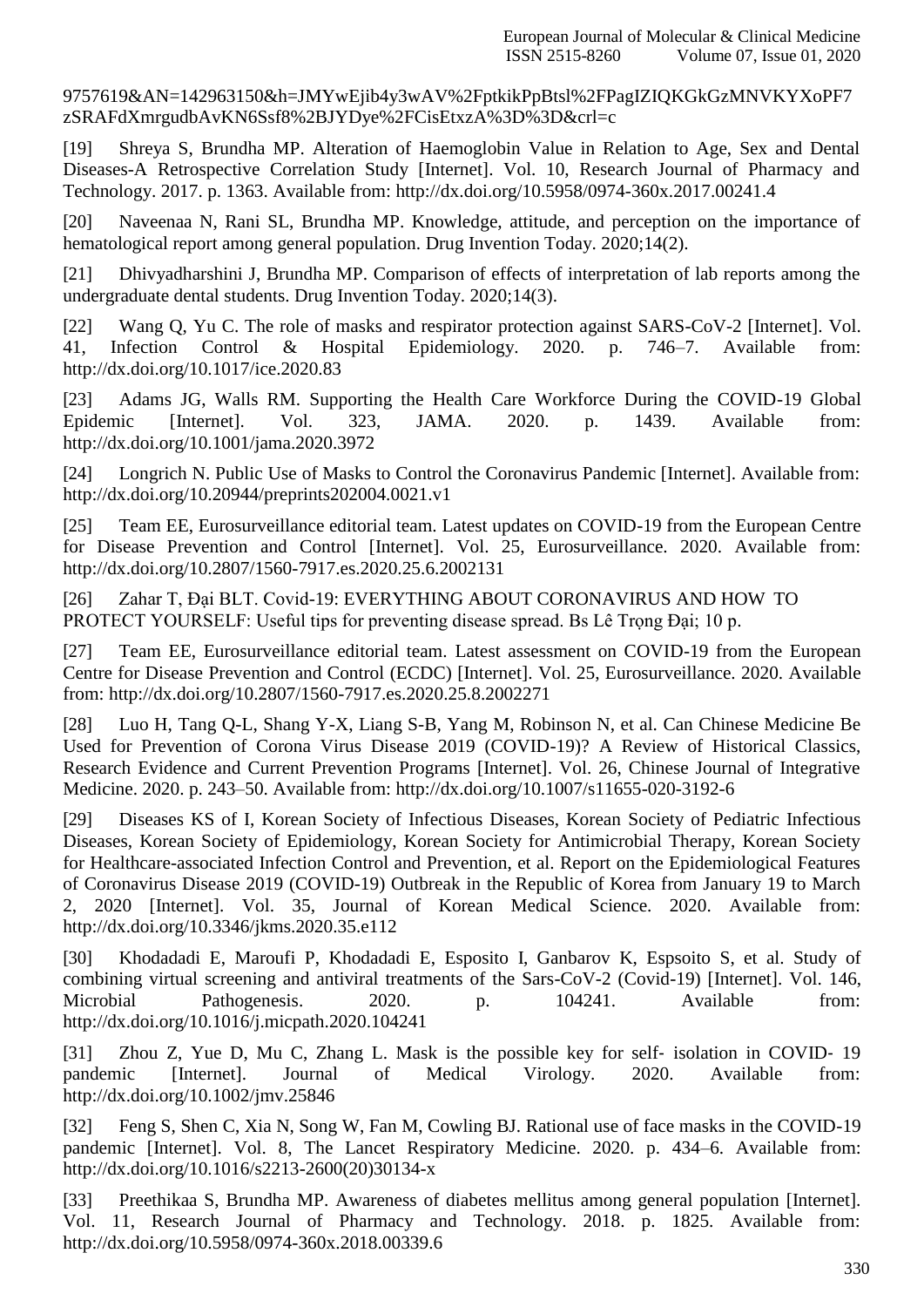[9757619&AN=142963150&h=JMYwEjib4y3wAV%2FptkikPpBtsl%2FPagIZIQKGkGzMNVKYXoPF7](http://search.ebscohost.com/login.aspx?direct=true&profile=ehost&scope=site&authtype=crawler&jrnl=09757619&AN=142963150&h=JMYwEjib4y3wAV%2FptkikPpBtsl%2FPagIZIQKGkGzMNVKYXoPF7zSRAFdXmrgudbAvKN6Ssf8%2BJYDye%2FCisEtxzA%3D%3D&crl=c) [zSRAFdXmrgudbAvKN6Ssf8%2BJYDye%2FCisEtxzA%3D%3D&crl=c](http://search.ebscohost.com/login.aspx?direct=true&profile=ehost&scope=site&authtype=crawler&jrnl=09757619&AN=142963150&h=JMYwEjib4y3wAV%2FptkikPpBtsl%2FPagIZIQKGkGzMNVKYXoPF7zSRAFdXmrgudbAvKN6Ssf8%2BJYDye%2FCisEtxzA%3D%3D&crl=c)

[19] [Shreya S, Brundha MP. Alteration of Haemoglobin Value in Relation to Age, Sex and Dental](http://paperpile.com/b/mVJHTp/nnyu) [Diseases-A Retrospective Correlation Study \[Internet\]. Vol. 10, Research Journal of Pharmacy and](http://paperpile.com/b/mVJHTp/nnyu) [Technology. 2017. p. 1363. Available from: http://dx.doi.org/10.5958/0974-360x.2017.00241.4](http://paperpile.com/b/mVJHTp/nnyu)

[20] [Naveenaa N, Rani SL, Brundha MP. Knowledge, attitude, and perception on the importance of](http://paperpile.com/b/mVJHTp/vHN2) [hematological report among general population. Drug Invention Today.](http://paperpile.com/b/mVJHTp/vHN2) 2020;14(2).

[21] [Dhivyadharshini J, Brundha MP. Comparison of effects of interpretation of lab reports among the](http://paperpile.com/b/mVJHTp/CEVc) [undergraduate dental students. Drug Invention Today.](http://paperpile.com/b/mVJHTp/CEVc) 2020;14(3).

[22] [Wang Q, Yu C. The role of masks and respirator protection against SARS-CoV-2 \[Internet\]. Vol.](http://paperpile.com/b/mVJHTp/wcDh) [41, Infection Control & Hospital Epidemiology. 2020. p. 746–7. Available from:](http://paperpile.com/b/mVJHTp/wcDh) <http://dx.doi.org/10.1017/ice.2020.83>

[23] [Adams JG, Walls RM. Supporting the Health Care Workforce During the COVID-19 Global](http://paperpile.com/b/mVJHTp/eXfR) [Epidemic \[Internet\]. Vol. 323, JAMA. 2020. p. 1439. Available from:](http://paperpile.com/b/mVJHTp/eXfR) <http://dx.doi.org/10.1001/jama.2020.3972>

[24] [Longrich N. Public Use of Masks to Control the Coronavirus Pandemic \[Internet\]. Available from:](http://paperpile.com/b/mVJHTp/gYuP) <http://dx.doi.org/10.20944/preprints202004.0021.v1>

[25] [Team EE, Eurosurveillance editorial team. Latest updates on COVID-19 from the European Centre](http://paperpile.com/b/mVJHTp/zOZh) [for Disease Prevention and Control \[Internet\]. Vol. 25, Eurosurveillance. 2020. Available from:](http://paperpile.com/b/mVJHTp/zOZh) <http://dx.doi.org/10.2807/1560-7917.es.2020.25.6.2002131>

[26] [Zahar T, Đại BLT. Covid-19: EVERYTHING ABOUT CORONAVIRUS AND HOW](http://paperpile.com/b/mVJHTp/DFPa) TO [PROTECT YOURSELF: Useful tips for preventing disease spread. Bs Lê Trọng Đại; 10 p.](http://paperpile.com/b/mVJHTp/DFPa)

[27] [Team EE, Eurosurveillance editorial team. Latest assessment on COVID-19 from the European](http://paperpile.com/b/mVJHTp/c7vh) [Centre for Disease Prevention and Control \(ECDC\) \[Internet\]. Vol. 25, Eurosurveillance. 2020. Available](http://paperpile.com/b/mVJHTp/c7vh) [from: http://dx.doi.org/10.2807/1560-7917.es.2020.25.8.2002271](http://paperpile.com/b/mVJHTp/c7vh)

[28] [Luo H, Tang Q-L, Shang Y-X, Liang S-B, Yang M, Robinson N, et al. Can Chinese Medicine Be](http://paperpile.com/b/mVJHTp/uA7a) [Used for Prevention of Corona Virus Disease 2019 \(COVID-19\)?](http://paperpile.com/b/mVJHTp/uA7a) A Review of Historical Classics[,](http://paperpile.com/b/mVJHTp/uA7a) [Research Evidence and Current Prevention Programs \[Internet\]. Vol. 26, Chinese Journal of Integrative](http://paperpile.com/b/mVJHTp/uA7a) [Medicine. 2020. p. 243–50. Available from:](http://paperpile.com/b/mVJHTp/uA7a) [http://dx.doi.org/10.1007/s11655-020-3192-6](http://paperpile.com/b/mVJHTp/uA7a)

[29] [Diseases KS of I, Korean Society of Infectious Diseases, Korean Society of Pediatric Infectious](http://paperpile.com/b/mVJHTp/IG8C) [Diseases, Korean Society of Epidemiology, Korean Society for Antimicrobial Therapy, Korean Society](http://paperpile.com/b/mVJHTp/IG8C) [for Healthcare-associated Infection Control and Prevention, et al. Report on the Epidemiological Features](http://paperpile.com/b/mVJHTp/IG8C) [of Coronavirus Disease 2019 \(COVID-19\) Outbreak in the Republic of Korea from January 19 to March](http://paperpile.com/b/mVJHTp/IG8C) [2, 2020 \[Internet\]. Vol. 35, Journal of Korean Medical Science. 2020. Available from:](http://paperpile.com/b/mVJHTp/IG8C) <http://dx.doi.org/10.3346/jkms.2020.35.e112>

[30] [Khodadadi E, Maroufi P, Khodadadi E, Esposito I, Ganbarov K, Espsoito S, et al. Study of](http://paperpile.com/b/mVJHTp/t9nC) [combining virtual screening and antiviral treatments of the Sars-CoV-2 \(Covid-19\) \[Internet\]. Vol. 146,](http://paperpile.com/b/mVJHTp/t9nC) Microbial [Pathogenesis.](http://paperpile.com/b/mVJHTp/t9nC) 2020. p. 104241. Available from[:](http://paperpile.com/b/mVJHTp/t9nC) <http://dx.doi.org/10.1016/j.micpath.2020.104241>

[31] [Zhou Z, Yue D, Mu C, Zhang L. Mask is the possible key for self](http://paperpile.com/b/mVJHTp/NoDi)- isolation in COVID-1[9](http://paperpile.com/b/mVJHTp/NoDi) [pandemic \[Internet\]. Journal of Medical Virology. 2020. Available from:](http://paperpile.com/b/mVJHTp/NoDi) <http://dx.doi.org/10.1002/jmv.25846>

[32] [Feng S, Shen C, Xia N, Song W, Fan M, Cowling BJ. Rational use of face masks in the COVID-19](http://paperpile.com/b/mVJHTp/KAyy) [pandemic \[Internet\]. Vol. 8, The Lancet Respiratory Medicine. 2020. p. 434–6. Available from:](http://paperpile.com/b/mVJHTp/KAyy) [http://dx.doi.org/10.1016/s2213-2600\(20\)30134-x](http://dx.doi.org/10.1016/s2213-2600(20)30134-x)

[33] [Preethikaa S, Brundha MP. Awareness of diabetes mellitus among general population \[Internet\].](http://paperpile.com/b/mVJHTp/PRG7) [Vol. 11, Research Journal of Pharmacy and Technology. 2018. p. 1825. Available from:](http://paperpile.com/b/mVJHTp/PRG7) <http://dx.doi.org/10.5958/0974-360x.2018.00339.6>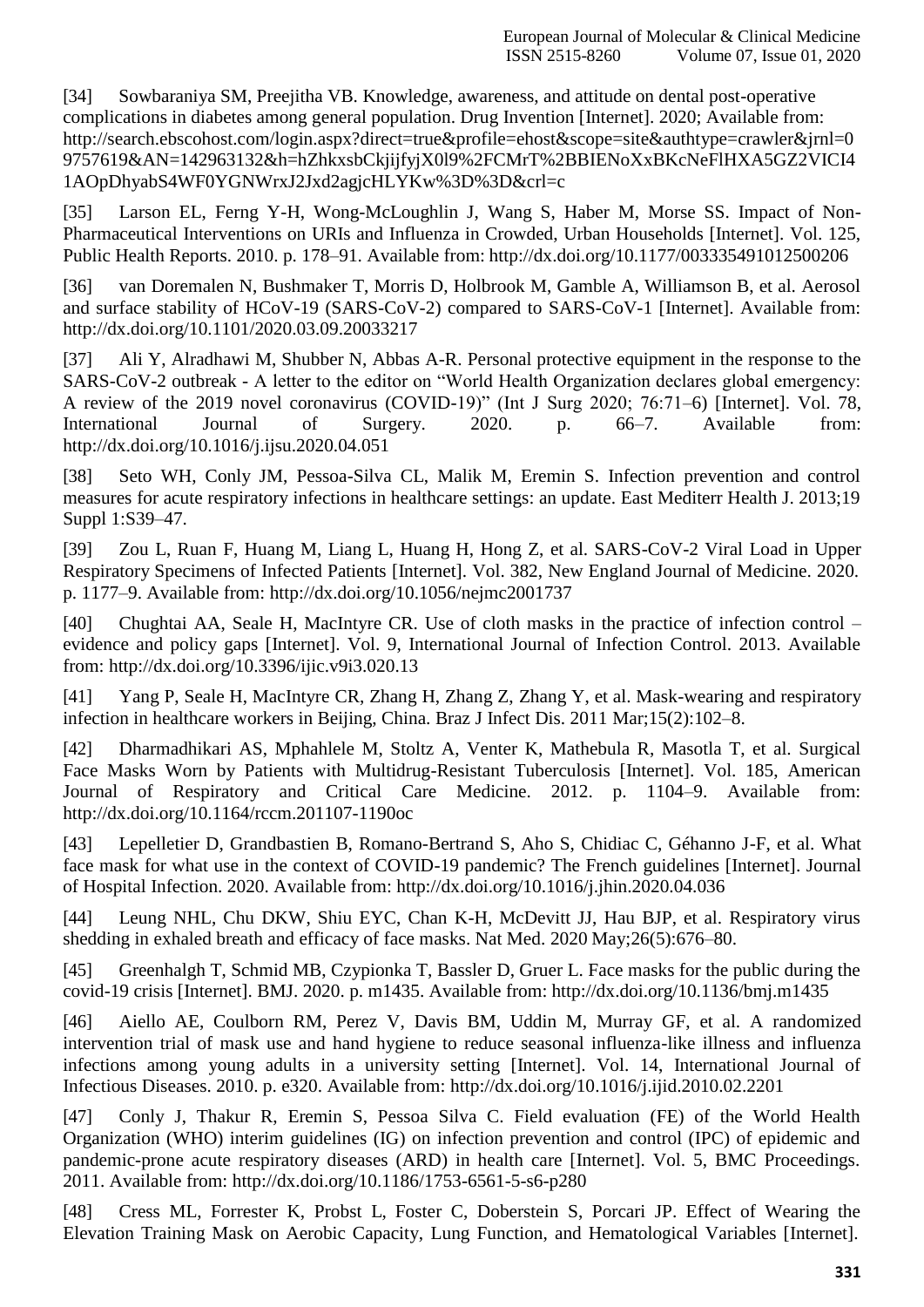[34] [Sowbaraniya SM, Preejitha VB. Knowledge, awareness, and attitude on dental post-operative](http://paperpile.com/b/mVJHTp/gsYE) [complications in diabetes among general population. Drug Invention \[Internet\]. 2020; Available from:](http://paperpile.com/b/mVJHTp/gsYE) [http://search.ebscohost.com/login.aspx?direct=true&profile=ehost&scope=site&authtype=crawler&jrnl=0](http://search.ebscohost.com/login.aspx?direct=true&profile=ehost&scope=site&authtype=crawler&jrnl=09757619&AN=142963132&h=hZhkxsbCkjijfyjX0l9%2FCMrT%2BBIENoXxBKcNeFlHXA5GZ2VICI41AOpDhyabS4WF0YGNWrxJ2Jxd2agjcHLYKw%3D%3D&crl=c) [9757619&AN=142963132&h=hZhkxsbCkjijfyjX0l9%2FCMrT%2BBIENoXxBKcNeFlHXA5GZ2VICI4](http://search.ebscohost.com/login.aspx?direct=true&profile=ehost&scope=site&authtype=crawler&jrnl=09757619&AN=142963132&h=hZhkxsbCkjijfyjX0l9%2FCMrT%2BBIENoXxBKcNeFlHXA5GZ2VICI41AOpDhyabS4WF0YGNWrxJ2Jxd2agjcHLYKw%3D%3D&crl=c) [1AOpDhyabS4WF0YGNWrxJ2Jxd2agjcHLYKw%3D%3D&crl=c](http://search.ebscohost.com/login.aspx?direct=true&profile=ehost&scope=site&authtype=crawler&jrnl=09757619&AN=142963132&h=hZhkxsbCkjijfyjX0l9%2FCMrT%2BBIENoXxBKcNeFlHXA5GZ2VICI41AOpDhyabS4WF0YGNWrxJ2Jxd2agjcHLYKw%3D%3D&crl=c)

[35] [Larson EL, Ferng Y-H, Wong-McLoughlin J, Wang S, Haber M, Morse SS. Impact of Non-](http://paperpile.com/b/mVJHTp/RGvE)[Pharmaceutical Interventions on URIs and Influenza in Crowded, Urban Households \[Internet\]. Vol. 125,](http://paperpile.com/b/mVJHTp/RGvE) [Public Health Reports. 2010. p. 178–91. Available from:](http://paperpile.com/b/mVJHTp/RGvE) [http://dx.doi.org/10.1177/003335491012500206](http://paperpile.com/b/mVJHTp/RGvE)

[36] [van Doremalen N, Bushmaker T, Morris D, Holbrook M, Gamble A, Williamson B, et al. Aerosol](http://paperpile.com/b/mVJHTp/cQ1t) [and surface stability of HCoV-19 \(SARS-CoV-2\) compared to SARS-CoV-1 \[Internet\]. Available from:](http://paperpile.com/b/mVJHTp/cQ1t) <http://dx.doi.org/10.1101/2020.03.09.20033217>

[37] Ali Y, [Alradhawi M, Shubber N, Abbas A-R. Personal protective equipment in the response to the](http://paperpile.com/b/mVJHTp/o57x) SARS-CoV-2 outbreak - [A letter to the editor on "World Health Organization declares global emergency:](http://paperpile.com/b/mVJHTp/o57x) [A review of the 2019 novel coronavirus \(COVID-19\)" \(Int J Surg 2020; 76:71–6\) \[Internet\]. Vol. 78,](http://paperpile.com/b/mVJHTp/o57x) [International Journal of Surgery. 2020. p. 66–7. Available from:](http://paperpile.com/b/mVJHTp/o57x) <http://dx.doi.org/10.1016/j.ijsu.2020.04.051>

[38] [Seto WH, Conly JM, Pessoa-Silva CL, Malik M, Eremin S. Infection prevention and control](http://paperpile.com/b/mVJHTp/JB0X) [measures for acute respiratory infections in healthcare settings: an update. East Mediterr Health J. 2013;19](http://paperpile.com/b/mVJHTp/JB0X) [Suppl 1:S39–47.](http://paperpile.com/b/mVJHTp/JB0X)

[39] [Zou L, Ruan F, Huang M, Liang L, Huang H, Hong Z, et al. SARS-CoV-2 Viral Load in Upper](http://paperpile.com/b/mVJHTp/uOMV) [Respiratory](http://paperpile.com/b/mVJHTp/uOMV) Specimens of Infected Patients [Internet]. Vol. 382, New England Journal of Medicine. 2020. [p. 1177–9. Available from: http://dx.doi.org/10.1056/nejmc2001737](http://paperpile.com/b/mVJHTp/uOMV)

[40] [Chughtai AA, Seale H, MacIntyre CR. Use of cloth masks in the practice of infection control –](http://paperpile.com/b/mVJHTp/GkB4) [evidence and policy gaps \[Internet\]. Vol. 9, International Journal of Infection Control. 2013. Available](http://paperpile.com/b/mVJHTp/GkB4) [from: http://dx.doi.org/10.3396/ijic.v9i3.020.13](http://paperpile.com/b/mVJHTp/GkB4)

[41] [Yang P, Seale H, MacIntyre CR, Zhang H, Zhang Z, Zhang Y, et al. Mask-wearing and respiratory](http://paperpile.com/b/mVJHTp/DzTg) [infection in healthcare workers in Beijing, China. Braz J Infect Dis. 2011](http://paperpile.com/b/mVJHTp/DzTg) Mar;15(2):102–8.

[42] [Dharmadhikari AS, Mphahlele M, Stoltz A, Venter K, Mathebula R, Masotla T, et al. Surgical](http://paperpile.com/b/mVJHTp/ocHN) [Face Masks Worn by Patients with Multidrug-Resistant Tuberculosis \[Internet\]. Vol. 185, American](http://paperpile.com/b/mVJHTp/ocHN) [Journal of Respiratory and Critical Care Medicine. 2012. p. 1104–9. Available from:](http://paperpile.com/b/mVJHTp/ocHN) <http://dx.doi.org/10.1164/rccm.201107-1190oc>

[43] [Lepelletier D, Grandbastien B, Romano-Bertrand S, Aho S, Chidiac C, Géhanno J-F, et al. What](http://paperpile.com/b/mVJHTp/eoBv) [face mask for what use in the context of COVID-19 pandemic? The French guidelines \[Internet\]. Journal](http://paperpile.com/b/mVJHTp/eoBv) [of Hospital Infection. 2020. Available from:](http://paperpile.com/b/mVJHTp/eoBv) [http://dx.doi.org/10.1016/j.jhin.2020.04.036](http://paperpile.com/b/mVJHTp/eoBv)

[44] [Leung NHL, Chu DKW, Shiu EYC, Chan K-H, McDevitt JJ, Hau BJP, et al. Respiratory virus](http://paperpile.com/b/mVJHTp/brn6) [shedding in exhaled breath and efficacy of face masks. Nat Med.](http://paperpile.com/b/mVJHTp/brn6) 2020 May;26(5):676–80.

[45] [Greenhalgh T, Schmid MB, Czypionka T, Bassler D, Gruer L. Face masks for the public during the](http://paperpile.com/b/mVJHTp/fB7q) [covid-19 crisis \[Internet\]. BMJ. 2020. p. m1435. Available from:](http://paperpile.com/b/mVJHTp/fB7q) [http://dx.doi.org/10.1136/bmj.m1435](http://paperpile.com/b/mVJHTp/fB7q)

[46] [Aiello AE, Coulborn RM, Perez V, Davis BM, Uddin M, Murray GF, et al. A randomized](http://paperpile.com/b/mVJHTp/XPYc) [intervention trial of mask use and hand hygiene to reduce seasonal influenza-like illness and influenza](http://paperpile.com/b/mVJHTp/XPYc) [infections among young adults in a university setting \[Internet\]. Vol. 14, International Journal of](http://paperpile.com/b/mVJHTp/XPYc) [Infectious Diseases. 2010. p. e320. Available from:](http://paperpile.com/b/mVJHTp/XPYc) <http://dx.doi.org/10.1016/j.ijid.2010.02.2201>

[47] [Conly J, Thakur R, Eremin S, Pessoa Silva C. Field evaluation \(FE\) of the World Health](http://paperpile.com/b/mVJHTp/DPHY) [Organization \(WHO\) interim guidelines \(IG\) on infection prevention and control \(IPC\) of epidemic and](http://paperpile.com/b/mVJHTp/DPHY) [pandemic-prone acute respiratory diseases \(ARD\) in health care \[Internet\]. Vol. 5, BMC Proceedings.](http://paperpile.com/b/mVJHTp/DPHY) [2011. Available from:](http://paperpile.com/b/mVJHTp/DPHY) [http://dx.doi.org/10.1186/1753-6561-5-s6-p280](http://paperpile.com/b/mVJHTp/DPHY)

[48] [Cress ML, Forrester K, Probst L, Foster C, Doberstein S, Porcari JP. Effect of Wearing the](http://paperpile.com/b/mVJHTp/5KaW) Elevation Training Mask on Aerobic Capacity, Lung Function, and [Hematological](http://paperpile.com/b/mVJHTp/5KaW) Variables [Internet].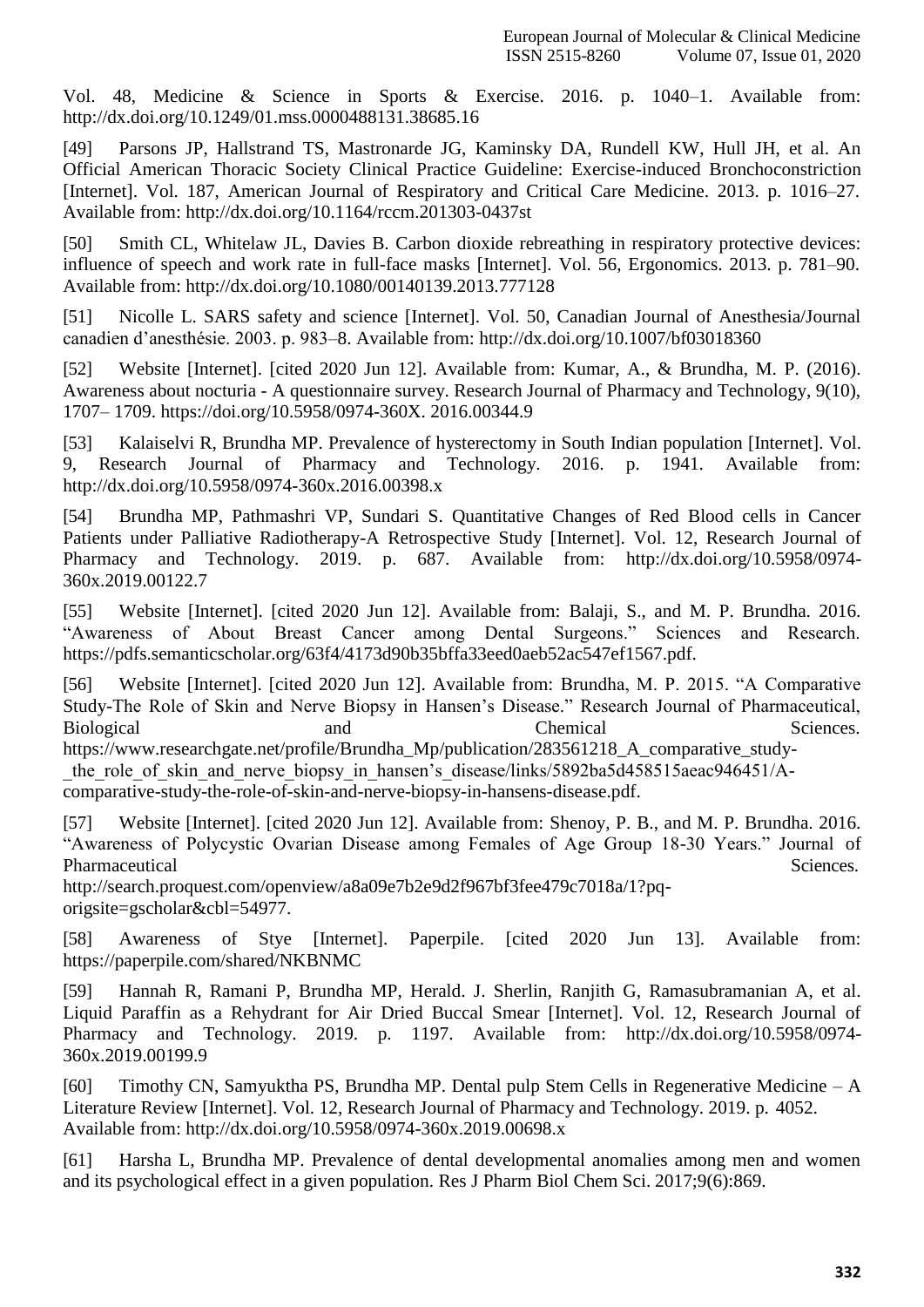[Vol. 48, Medicine & Science in Sports & Exercise. 2016. p. 1040–1. Available from:](http://paperpile.com/b/mVJHTp/5KaW) <http://dx.doi.org/10.1249/01.mss.0000488131.38685.16>

[49] [Parsons JP, Hallstrand TS, Mastronarde JG, Kaminsky DA, Rundell KW, Hull JH, et al. An](http://paperpile.com/b/mVJHTp/bM3o) [Official American Thoracic Society Clinical Practice Guideline: Exercise-induced Bronchoconstriction](http://paperpile.com/b/mVJHTp/bM3o) [Internet]. Vol. 187, American Journal of [Respiratory](http://paperpile.com/b/mVJHTp/bM3o) and Critical Care Medicine. 2013. p. 1016–27. [Available from: http://dx.doi.org/10.1164/rccm.201303-0437st](http://paperpile.com/b/mVJHTp/bM3o)

[50] [Smith CL, Whitelaw JL, Davies B. Carbon dioxide rebreathing in respiratory protective devices:](http://paperpile.com/b/mVJHTp/BEzu) influence of speech and work rate in full-face masks [Internet]. Vol. 56, [Ergonomics.](http://paperpile.com/b/mVJHTp/BEzu) 2013. p. 781–90. [Available from: http://dx.doi.org/10.1080/00140139.2013.777128](http://paperpile.com/b/mVJHTp/BEzu)

[51] [Nicolle L. SARS safety and science \[Internet\]. Vol. 50, Canadian Journal of Anesthesia/Journal](http://paperpile.com/b/mVJHTp/ZYBT) [canadien d'anesthésie. 2003. p. 983–8. Available from:](http://paperpile.com/b/mVJHTp/ZYBT) [http://dx.doi.org/10.1007/bf03018360](http://paperpile.com/b/mVJHTp/ZYBT)

[52] [Website \[Internet\]. \[cited 2020 Jun 12\]. Available from:](http://paperpile.com/b/mVJHTp/vSH4) [Kumar, A., & Brundha, M. P. \(2016\).](http://paperpile.com/b/mVJHTp/vSH4) Awareness about nocturia - A questionnaire survey. Research Journal of Pharmacy and Technology, 9(10), 1707– 1709. https://doi.org/10.5958/0974-360X. 2016.00344.9

[53] [Kalaiselvi R, Brundha MP. Prevalence of hysterectomy in South Indian population \[Internet\]. Vol.](http://paperpile.com/b/mVJHTp/oOAE) [9, Research Journal of Pharmacy and Technology. 2016. p. 1941. Available from:](http://paperpile.com/b/mVJHTp/oOAE) <http://dx.doi.org/10.5958/0974-360x.2016.00398.x>

[54] [Brundha MP, Pathmashri VP, Sundari S. Quantitative Changes of Red Blood cells in Cancer](http://paperpile.com/b/mVJHTp/VYtY) [Patients under Palliative Radiotherapy-A Retrospective Study \[Internet\]. Vol. 12, Research Journal of](http://paperpile.com/b/mVJHTp/VYtY) [Pharmacy and Technology. 2019. p. 687. Available from:](http://paperpile.com/b/mVJHTp/VYtY) [http://dx.doi.org/10.5958/0974-](http://paperpile.com/b/mVJHTp/VYtY) [360x.2019.00122.7](http://dx.doi.org/10.5958/0974-360x.2019.00122.7)

[55] [Website \[Internet\]. \[cited 2020 Jun 12\]. Available from:](http://paperpile.com/b/mVJHTp/wb2o) [Balaji, S., and M. P. Brundha. 2016.](http://paperpile.com/b/mVJHTp/wb2o) "Awareness of About Breast Cancer among Dental Surgeons." Sciences and Research. https://pdfs.semanticscholar.org/63f4/4173d90b35bffa33eed0aeb52ac547ef1567.pdf.

[56] [Website \[Internet\]. \[cited 2020 Jun 12\]. Available from:](http://paperpile.com/b/mVJHTp/75YL) [Brundha, M. P. 2015. "A Comparative](http://paperpile.com/b/mVJHTp/75YL) Study-The Role of Skin and Nerve Biopsy in Hansen's Disease." Research Journal of Pharmaceutical, Biological and and Chemical Sciences. https:[//www.researchgate.net/profile/Brundha\\_Mp/publication/283561218\\_A\\_comparative\\_study-](http://www.researchgate.net/profile/Brundha_Mp/publication/283561218_A_comparative_study-)

the role of skin and nerve biopsy in hansen's disease/links/5892ba5d458515aeac946451/A-

comparative-study-the-role-of-skin-and-nerve-biopsy-in-hansens-disease.pdf.

[57] [Website \[Internet\]. \[cited 2020 Jun 12\]. Available from: Shenoy, P. B., and M. P. Brundha. 2016.](http://paperpile.com/b/mVJHTp/cNOp) "Awareness of Polycystic Ovarian Disease among Females of Age Group 18-30 Years." Journal of Pharmaceutical Sciences.

[http://search.proquest.com/openview/a8a09e7b2e9d2f967bf3fee479c7018a/1?pq](http://search.proquest.com/openview/a8a09e7b2e9d2f967bf3fee479c7018a/1?pq-)origsite=gscholar&cbl=54977.

[58] [Awareness of Stye \[Internet\]. Paperpile. \[cited 2020 Jun 13\]. Available from:](http://paperpile.com/b/mVJHTp/C90n) <https://paperpile.com/shared/NKBNMC>

[59] [Hannah R, Ramani P, Brundha MP, Herald. J. Sherlin, Ranjith G, Ramasubramanian A, et al.](http://paperpile.com/b/mVJHTp/xGno) [Liquid Paraffin as a Rehydrant for Air Dried Buccal Smear \[Internet\]. Vol. 12, Research Journal of](http://paperpile.com/b/mVJHTp/xGno) [Pharmacy and Technology. 2019. p. 1197. Available from:](http://paperpile.com/b/mVJHTp/xGno) [http://dx.doi.org/10.5958/0974-](http://paperpile.com/b/mVJHTp/xGno) [360x.2019.00199.9](http://dx.doi.org/10.5958/0974-360x.2019.00199.9)

[60] [Timothy CN, Samyuktha PS, Brundha MP. Dental pulp Stem Cells in Regenerative Medicine –](http://paperpile.com/b/mVJHTp/j9HH) [A](http://paperpile.com/b/mVJHTp/j9HH) [Literature Review \[Internet\]. Vol. 12, Research Journal of Pharmacy and Technology. 2019. p.](http://paperpile.com/b/mVJHTp/j9HH) 4052. [Available from: http://dx.doi.org/10.5958/0974-360x.2019.00698.x](http://paperpile.com/b/mVJHTp/j9HH)

[61] [Harsha L, Brundha MP. Prevalence of dental developmental anomalies among men and women](http://paperpile.com/b/mVJHTp/EO6P) [and its psychological effect in a given population. Res J Pharm](http://paperpile.com/b/mVJHTp/EO6P) Biol Chem Sci. 2017;9(6):869.